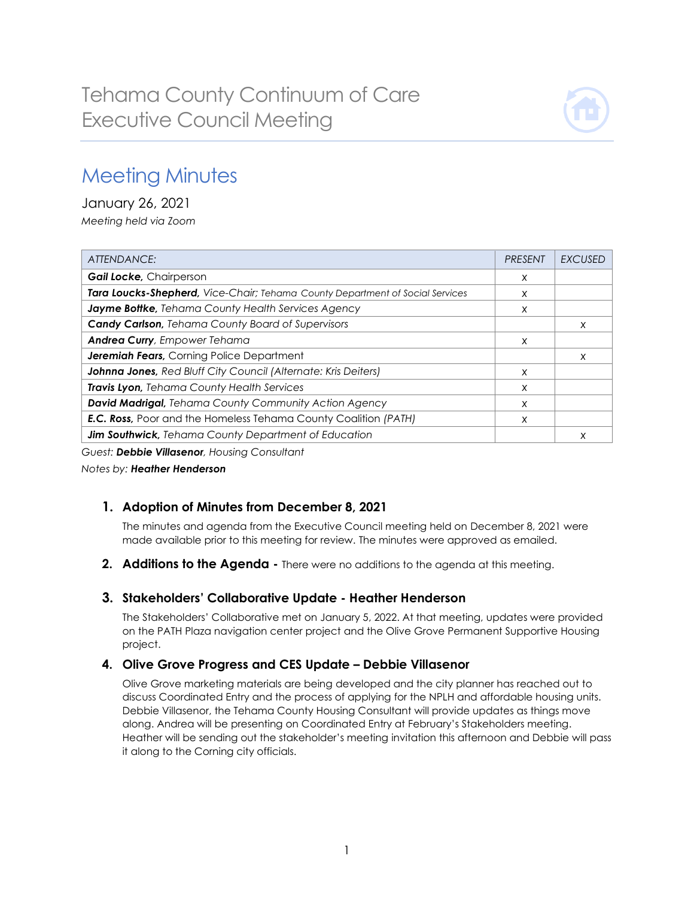

# Meeting Minutes

January 26, 2021 *Meeting held via Zoom*

| ATTENDANCE:                                                                          | <b>PRESENT</b> | <b>EXCUSED</b> |
|--------------------------------------------------------------------------------------|----------------|----------------|
| Gail Locke, Chairperson                                                              | X              |                |
| <b>Tara Loucks-Shepherd, Vice-Chair; Tehama County Department of Social Services</b> | X              |                |
| Jayme Bottke, Tehama County Health Services Agency                                   | X              |                |
| <b>Candy Carlson, Tehama County Board of Supervisors</b>                             |                | X              |
| <b>Andrea Curry</b> , Empower Tehama                                                 | X              |                |
| <b>Jeremiah Fears, Corning Police Department</b>                                     |                | X              |
| Johnna Jones, Red Bluff City Council (Alternate: Kris Deiters)                       | X              |                |
| Travis Lyon, Tehama County Health Services                                           | X              |                |
| David Madrigal, Tehama County Community Action Agency                                | X              |                |
| <b>E.C. Ross, Poor and the Homeless Tehama County Coalition (PATH)</b>               | X              |                |
| Jim Southwick, Tehama County Department of Education                                 |                | X              |

*Guest: Debbie Villasenor, Housing Consultant*

*Notes by: Heather Henderson*

## **1. Adoption of Minutes from December 8, 2021**

The minutes and agenda from the Executive Council meeting held on December 8, 2021 were made available prior to this meeting for review. The minutes were approved as emailed.

**2. Additions to the Agenda -** There were no additions to the agenda at this meeting.

## **3. Stakeholders' Collaborative Update - Heather Henderson**

The Stakeholders' Collaborative met on January 5, 2022. At that meeting, updates were provided on the PATH Plaza navigation center project and the Olive Grove Permanent Supportive Housing project.

## **4. Olive Grove Progress and CES Update – Debbie Villasenor**

Olive Grove marketing materials are being developed and the city planner has reached out to discuss Coordinated Entry and the process of applying for the NPLH and affordable housing units. Debbie Villasenor, the Tehama County Housing Consultant will provide updates as things move along. Andrea will be presenting on Coordinated Entry at February's Stakeholders meeting. Heather will be sending out the stakeholder's meeting invitation this afternoon and Debbie will pass it along to the Corning city officials.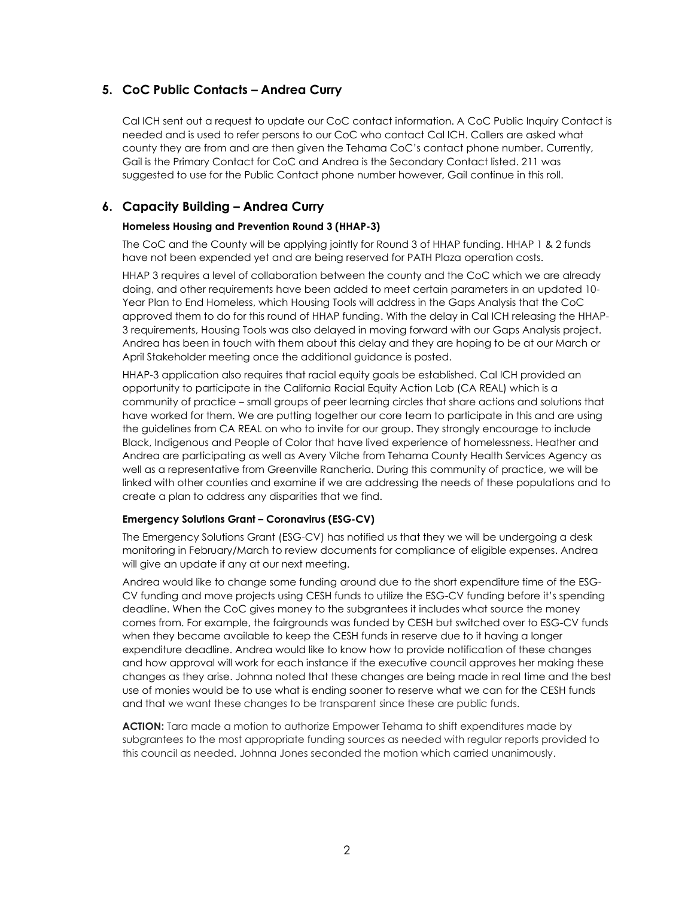## **5. CoC Public Contacts – Andrea Curry**

Cal ICH sent out a request to update our CoC contact information. A CoC Public Inquiry Contact is needed and is used to refer persons to our CoC who contact Cal ICH. Callers are asked what county they are from and are then given the Tehama CoC's contact phone number. Currently, Gail is the Primary Contact for CoC and Andrea is the Secondary Contact listed. 211 was suggested to use for the Public Contact phone number however, Gail continue in this roll.

#### **6. Capacity Building – Andrea Curry**

#### **Homeless Housing and Prevention Round 3 (HHAP-3)**

The CoC and the County will be applying jointly for Round 3 of HHAP funding. HHAP 1 & 2 funds have not been expended yet and are being reserved for PATH Plaza operation costs.

HHAP 3 requires a level of collaboration between the county and the CoC which we are already doing, and other requirements have been added to meet certain parameters in an updated 10- Year Plan to End Homeless, which Housing Tools will address in the Gaps Analysis that the CoC approved them to do for this round of HHAP funding. With the delay in Cal ICH releasing the HHAP-3 requirements, Housing Tools was also delayed in moving forward with our Gaps Analysis project. Andrea has been in touch with them about this delay and they are hoping to be at our March or April Stakeholder meeting once the additional guidance is posted.

HHAP-3 application also requires that racial equity goals be established. Cal ICH provided an opportunity to participate in the California Racial Equity Action Lab (CA REAL) which is a community of practice – small groups of peer learning circles that share actions and solutions that have worked for them. We are putting together our core team to participate in this and are using the guidelines from CA REAL on who to invite for our group. They strongly encourage to include Black, Indigenous and People of Color that have lived experience of homelessness. Heather and Andrea are participating as well as Avery Vilche from Tehama County Health Services Agency as well as a representative from Greenville Rancheria. During this community of practice, we will be linked with other counties and examine if we are addressing the needs of these populations and to create a plan to address any disparities that we find.

#### **Emergency Solutions Grant – Coronavirus (ESG-CV)**

The Emergency Solutions Grant (ESG-CV) has notified us that they we will be undergoing a desk monitoring in February/March to review documents for compliance of eligible expenses. Andrea will give an update if any at our next meeting.

Andrea would like to change some funding around due to the short expenditure time of the ESG-CV funding and move projects using CESH funds to utilize the ESG-CV funding before it's spending deadline. When the CoC gives money to the subgrantees it includes what source the money comes from. For example, the fairgrounds was funded by CESH but switched over to ESG-CV funds when they became available to keep the CESH funds in reserve due to it having a longer expenditure deadline. Andrea would like to know how to provide notification of these changes and how approval will work for each instance if the executive council approves her making these changes as they arise. Johnna noted that these changes are being made in real time and the best use of monies would be to use what is ending sooner to reserve what we can for the CESH funds and that we want these changes to be transparent since these are public funds.

**ACTION:** Tara made a motion to authorize Empower Tehama to shift expenditures made by subgrantees to the most appropriate funding sources as needed with regular reports provided to this council as needed. Johnna Jones seconded the motion which carried unanimously.